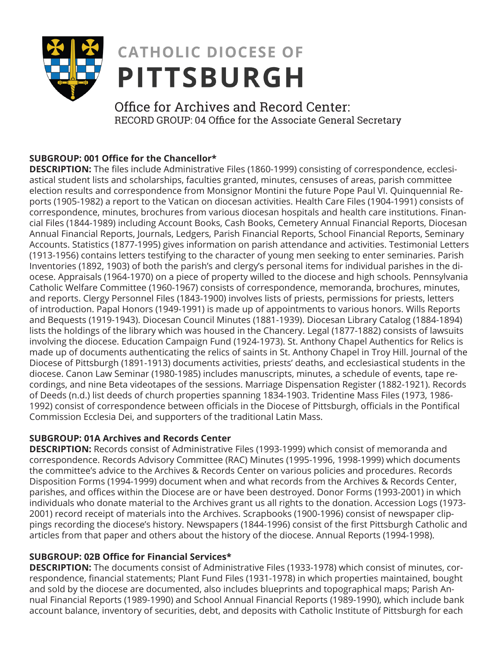

# **CATHOLIC DIOCESE OF PITTSBURGH**

Office for Archives and Record Center: RECORD GROUP: 04 Office for the Associate General Secretary

# **SUBGROUP: 001 Office for the Chancellor\***

**DESCRIPTION:** The files include Administrative Files (1860-1999) consisting of correspondence, ecclesiastical student lists and scholarships, faculties granted, minutes, censuses of areas, parish committee election results and correspondence from Monsignor Montini the future Pope Paul VI. Quinquennial Reports (1905-1982) a report to the Vatican on diocesan activities. Health Care Files (1904-1991) consists of correspondence, minutes, brochures from various diocesan hospitals and health care institutions. Financial Files (1844-1989) including Account Books, Cash Books, Cemetery Annual Financial Reports, Diocesan Annual Financial Reports, Journals, Ledgers, Parish Financial Reports, School Financial Reports, Seminary Accounts. Statistics (1877-1995) gives information on parish attendance and activities. Testimonial Letters (1913-1956) contains letters testifying to the character of young men seeking to enter seminaries. Parish Inventories (1892, 1903) of both the parish's and clergy's personal items for individual parishes in the diocese. Appraisals (1964-1970) on a piece of property willed to the diocese and high schools. Pennsylvania Catholic Welfare Committee (1960-1967) consists of correspondence, memoranda, brochures, minutes, and reports. Clergy Personnel Files (1843-1900) involves lists of priests, permissions for priests, letters of introduction. Papal Honors (1949-1991) is made up of appointments to various honors. Wills Reports and Bequests (1919-1943). Diocesan Council Minutes (1881-1939). Diocesan Library Catalog (1884-1894) lists the holdings of the library which was housed in the Chancery. Legal (1877-1882) consists of lawsuits involving the diocese. Education Campaign Fund (1924-1973). St. Anthony Chapel Authentics for Relics is made up of documents authenticating the relics of saints in St. Anthony Chapel in Troy Hill. Journal of the Diocese of Pittsburgh (1891-1913) documents activities, priests' deaths, and ecclesiastical students in the diocese. Canon Law Seminar (1980-1985) includes manuscripts, minutes, a schedule of events, tape recordings, and nine Beta videotapes of the sessions. Marriage Dispensation Register (1882-1921). Records of Deeds (n.d.) list deeds of church properties spanning 1834-1903. Tridentine Mass Files (1973, 1986- 1992) consist of correspondence between officials in the Diocese of Pittsburgh, officials in the Pontifical Commission Ecclesia Dei, and supporters of the traditional Latin Mass.

# **SUBGROUP: 01A Archives and Records Center**

**DESCRIPTION:** Records consist of Administrative Files (1993-1999) which consist of memoranda and correspondence. Records Advisory Committee (RAC) Minutes (1995-1996, 1998-1999) which documents the committee's advice to the Archives & Records Center on various policies and procedures. Records Disposition Forms (1994-1999) document when and what records from the Archives & Records Center, parishes, and offices within the Diocese are or have been destroyed. Donor Forms (1993-2001) in which individuals who donate material to the Archives grant us all rights to the donation. Accession Logs (1973- 2001) record receipt of materials into the Archives. Scrapbooks (1900-1996) consist of newspaper clippings recording the diocese's history. Newspapers (1844-1996) consist of the first Pittsburgh Catholic and articles from that paper and others about the history of the diocese. Annual Reports (1994-1998).

# **SUBGROUP: 02B Office for Financial Services\***

**DESCRIPTION:** The documents consist of Administrative Files (1933-1978) which consist of minutes, correspondence, financial statements; Plant Fund Files (1931-1978) in which properties maintained, bought and sold by the diocese are documented, also includes blueprints and topographical maps; Parish Annual Financial Reports (1989-1990) and School Annual Financial Reports (1989-1990), which include bank account balance, inventory of securities, debt, and deposits with Catholic Institute of Pittsburgh for each